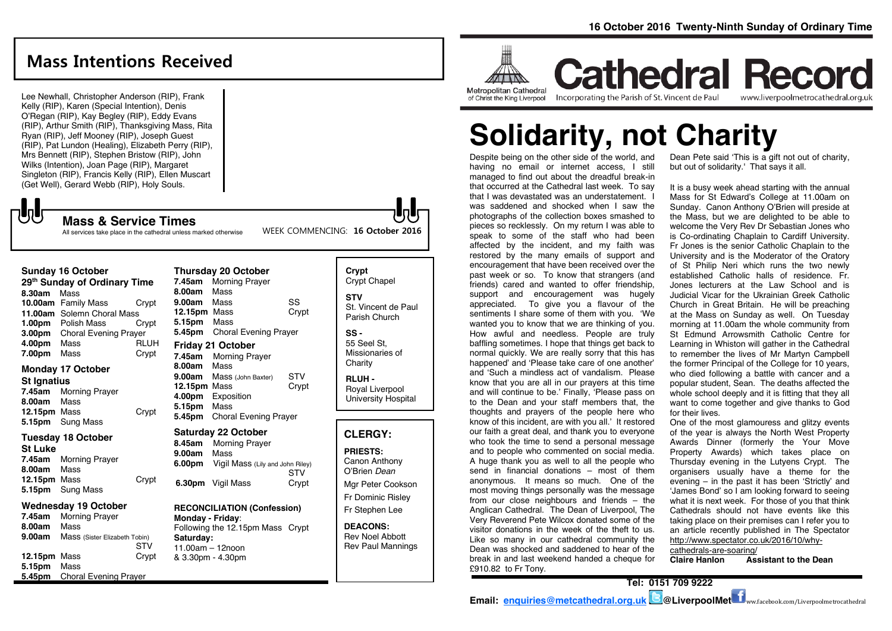# **Mass Intentions Received**

Lee Newhall, Christopher Anderson (RIP), Frank Kelly (RIP), Karen (Special Intention), Denis O'Regan (RIP), Kay Begley (RIP), Eddy Evans (RIP), Arthur Smith (RIP), Thanksgiving Mass, Rita Ryan (RIP), Jeff Mooney (RIP), Joseph Guest (RIP), Pat Lundon (Healing), Elizabeth Perry (RIP), Mrs Bennett (RIP), Stephen Bristow (RIP), John Wilks (Intention), Joan Page (RIP), Margaret Singleton (RIP), Francis Kelly (RIP), Ellen Muscart (Get Well), Gerard Webb (RIP), Holy Souls.

# $\sqrt{5}$

### **Mass & Service Times**

All services take place in the cathedral unless marked otherwise

### **Sunday 16 October**

**29th Sunday of Ordinary Time 8.30am** Mass **10.00am** Family Mass Crypt **11.00am** Solemn Choral Mass **1.00pm** Polish Mass Crypt **3.00pm** Choral Evening Prayer **4.00pm** Mass RLUH **7.00pm** Mass Crypt

## **Monday 17 October**

### **St Ignatius**

**7.45am** Morning Prayer **8.00am** Mass **12.15pm** Mass Crypt **5.15pm** Sung Mass

#### **Tuesday 18 October St Luke**

**7.45am** Morning Prayer **8.00am** Mass **12.15pm** Mass Crypt **5.15pm** Sung Mass

### **Wednesday 19 October**

**7.45am** Morning Prayer **8.00am** Mass **9.00am** Mass (Sister Elizabeth Tobin) STV **12.15pm** Mass Crypt **5.15pm** Mass **5.45pm** Choral Evening Prayer

| <b>Thursday 20 October</b> |                                  |       |
|----------------------------|----------------------------------|-------|
| 7.45am                     | <b>Morning Prayer</b>            |       |
| 8.00am                     | Mass                             |       |
| 9.00am                     | Mass                             | SS    |
| 12.15pm Mass               |                                  | Crypt |
| 5.15pm Mass                |                                  |       |
| 5.45pm                     | <b>Choral Evening Prayer</b>     |       |
|                            | <b>Friday 21 October</b>         |       |
| 7.45am                     | <b>Morning Prayer</b>            |       |
| 8.00am                     | Mass                             |       |
| 9.00am                     | Mass (John Baxter)               | STV   |
| 12.15pm                    | Mass                             | Crypt |
| 4.00pm                     | Exposition                       |       |
| 5.15pm                     | Mass                             |       |
| 5.45pm                     | <b>Choral Evening Prayer</b>     |       |
| Saturday 22 October        |                                  |       |
| 8.45am                     | <b>Morning Prayer</b>            |       |
| 9.00am                     | Mass                             |       |
| 6.00pm                     | Vigil Mass (Lily and John Riley) | STV   |
|                            | 6.30pm Vigil Mass                | Crypt |

### **RECONCILIATION (Confession) Monday - Friday**: Following the 12.15pm Mass Crypt

**Saturday:** 11.00am – 12noon & 3.30pm - 4.30pm

| Crypt<br>Crypt Chapel |
|-----------------------|
| <b>STV</b>            |
| St. Vincent de Paul   |
| Parish Church         |

WEEK COMMENCING: **16 October 2016**

**SS -** 55 Seel St, Missionaries of Charity

**RLUH -** Royal Liverpool University Hospital

## **CLERGY:**

**PRIESTS:** Canon Anthony O'Brien *Dean* Mgr Peter Cookson

Fr Dominic Risley Fr Stephen Lee

**DEACONS:** Rev Noel Abbott Rev Paul Mannings



**Cathedral Record** Incorporating the Parish of St. Vincent de Paul www.liverpoolmetrocathedral.org.uk

# **Solidarity, not Charity**

Despite being on the other side of the world, and having no email or internet access, I still managed to find out about the dreadful break-in that occurred at the Cathedral last week. To say that I was devastated was an understatement. I was saddened and shocked when I saw the photographs of the collection boxes smashed to pieces so recklessly. On my return I was able to speak to some of the staff who had been affected by the incident, and my faith was restored by the many emails of support and encouragement that have been received over the past week or so. To know that strangers (and friends) cared and wanted to offer friendship, support and encouragement was hugely appreciated. To give you a flavour of the sentiments I share some of them with you. 'We wanted you to know that we are thinking of you. How awful and needless. People are truly baffling sometimes. I hope that things get back to normal quickly. We are really sorry that this has happened' and 'Please take care of one another' and 'Such a mindless act of vandalism. Please know that you are all in our prayers at this time and will continue to be.' Finally, 'Please pass on to the Dean and your staff members that, the thoughts and prayers of the people here who know of this incident, are with you all.' It restored our faith a great deal, and thank you to everyone who took the time to send a personal message and to people who commented on social media. A huge thank you as well to all the people who send in financial donations – most of them anonymous. It means so much. One of the most moving things personally was the message from our close neighbours and friends – the Anglican Cathedral. The Dean of Liverpool, The Very Reverend Pete Wilcox donated some of the visitor donations in the week of the theft to us. Like so many in our cathedral community the Dean was shocked and saddened to hear of the break in and last weekend handed a cheque for £910.82 to Fr Tony.

Dean Pete said 'This is a gift not out of charity, but out of solidarity.' That says it all.

It is a busy week ahead starting with the annual Mass for St Edward's College at 11.00am on Sunday. Canon Anthony O'Brien will preside at the Mass, but we are delighted to be able to welcome the Very Rev Dr Sebastian Jones who is Co-ordinating Chaplain to Cardiff University. Fr Jones is the senior Catholic Chaplain to the University and is the Moderator of the Oratory of St Philip Neri which runs the two newly established Catholic halls of residence. Fr. Jones lecturers at the Law School and is Judicial Vicar for the Ukrainian Greek Catholic Church in Great Britain. He will be preaching at the Mass on Sunday as well. On Tuesday morning at 11.00am the whole community from St Edmund Arrowsmith Catholic Centre for Learning in Whiston will gather in the Cathedral to remember the lives of Mr Martyn Campbell the former Principal of the College for 10 years, who died following a battle with cancer and a popular student, Sean. The deaths affected the whole school deeply and it is fitting that they all want to come together and give thanks to God for their lives.

One of the most glamouress and glitzy events of the year is always the North West Property Awards Dinner (formerly the Your Move Property Awards) which takes place on Thursday evening in the Lutyens Crypt. The organisers usually have a theme for the evening – in the past it has been 'Strictly' and 'James Bond' so I am looking forward to seeing what it is next week. For those of you that think Cathedrals should not have events like this taking place on their premises can I refer you to an article recently published in The Spectator [http://www.spectator.co.uk/2016/10/why-](http://www.spectator.co.uk/2016/10/why-cathedrals-are-soaring/)

[cathedrals-are-soaring/](http://www.spectator.co.uk/2016/10/why-cathedrals-are-soaring/)<br>Claire Hanlon Ass **Assistant to the Dean**